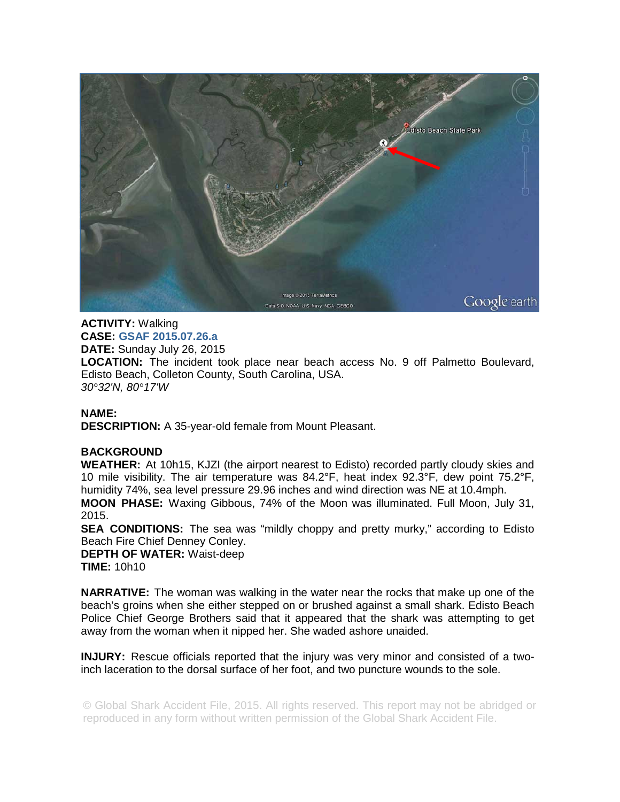

## **ACTIVITY:** Walking **CASE: GSAF 2015.07.26.a**

**DATE:** Sunday July 26, 2015 **LOCATION:** The incident took place near beach access No. 9 off Palmetto Boulevard, Edisto Beach, Colleton County, South Carolina, USA. *30°32'N, 80°17'W* 

## **NAME:**

**DESCRIPTION:** A 35-year-old female from Mount Pleasant.

## **BACKGROUND**

**WEATHER:** At 10h15, KJZI (the airport nearest to Edisto) recorded partly cloudy skies and 10 mile visibility. The air temperature was 84.2°F, heat index 92.3°F, dew point 75.2°F, humidity 74%, sea level pressure 29.96 inches and wind direction was NE at 10.4mph.

**MOON PHASE:** Waxing Gibbous, 74% of the Moon was illuminated. Full Moon, July 31, 2015.

**SEA CONDITIONS:** The sea was "mildly choppy and pretty murky," according to Edisto Beach Fire Chief Denney Conley.

**DEPTH OF WATER:** Waist-deep **TIME:** 10h10

**NARRATIVE:** The woman was walking in the water near the rocks that make up one of the beach's groins when she either stepped on or brushed against a small shark. Edisto Beach Police Chief George Brothers said that it appeared that the shark was attempting to get away from the woman when it nipped her. She waded ashore unaided.

**INJURY:** Rescue officials reported that the injury was very minor and consisted of a twoinch laceration to the dorsal surface of her foot, and two puncture wounds to the sole.

© Global Shark Accident File, 2015. All rights reserved. This report may not be abridged or reproduced in any form without written permission of the Global Shark Accident File.